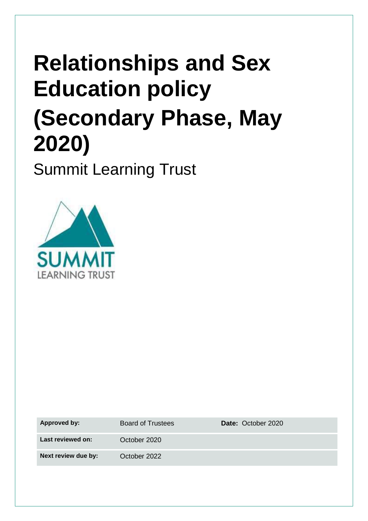# **Relationships and Sex Education policy (Secondary Phase, May 2020)**

Summit Learning Trust



| Last reviewed on:<br>October 2020   |  |
|-------------------------------------|--|
| Next review due by:<br>October 2022 |  |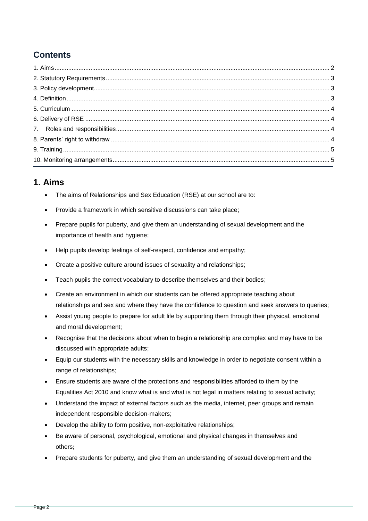# **Contents**

#### <span id="page-1-0"></span>**1. Aims**

- The aims of Relationships and Sex Education (RSE) at our school are to:
- Provide a framework in which sensitive discussions can take place;
- Prepare pupils for puberty, and give them an understanding of sexual development and the importance of health and hygiene;
- Help pupils develop feelings of self-respect, confidence and empathy;
- Create a positive culture around issues of sexuality and relationships;
- Teach pupils the correct vocabulary to describe themselves and their bodies;
- Create an environment in which our students can be offered appropriate teaching about relationships and sex and where they have the confidence to question and seek answers to queries;
- Assist young people to prepare for adult life by supporting them through their physical, emotional and moral development;
- Recognise that the decisions about when to begin a relationship are complex and may have to be discussed with appropriate adults;
- Equip our students with the necessary skills and knowledge in order to negotiate consent within a range of relationships;
- Ensure students are aware of the protections and responsibilities afforded to them by the Equalities Act 2010 and know what is and what is not legal in matters relating to sexual activity;
- Understand the impact of external factors such as the media, internet, peer groups and remain independent responsible decision-makers;
- Develop the ability to form positive, non-exploitative relationships;
- Be aware of personal, psychological, emotional and physical changes in themselves and others;
- Prepare students for puberty, and give them an understanding of sexual development and the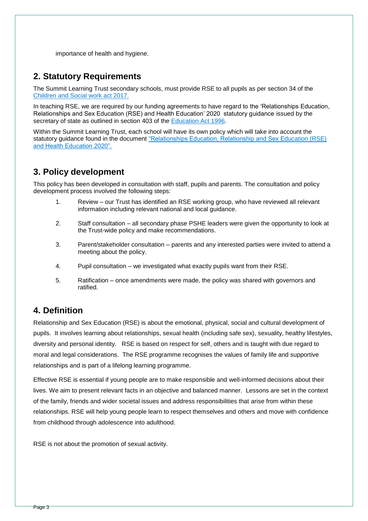importance of health and hygiene.

### <span id="page-2-0"></span>**2. Statutory Requirements**

The Summit Learning Trust secondary schools, must provide RSE to all pupils as per section 34 of the [Children and Social work act 2017.](http://www.legislation.gov.uk/ukpga/2017/16/section/34/enacted)

In teaching RSE, we are required by our funding agreements to have regard to the 'Relationships Education, Relationships and Sex Education (RSE) and Health Education' 2020 statutory guidance issued by the secretary of state as outlined in section 403 of the [Education Act 1996.](http://www.legislation.gov.uk/ukpga/1996/56/contents)

Within the Summit Learning Trust, each school will have its own policy which will take into account the statutory guidance found in the document ["Relationships Education, Relationship and Sex Education \(RSE\)](https://assets.publishing.service.gov.uk/government/uploads/system/uploads/attachment_data/file/805781/Relationships_Education__Relationships_and_Sex_Education__RSE__and_Health_Education.pdf)  [and Health Education 2020".](https://assets.publishing.service.gov.uk/government/uploads/system/uploads/attachment_data/file/805781/Relationships_Education__Relationships_and_Sex_Education__RSE__and_Health_Education.pdf) 

## <span id="page-2-1"></span>**3. Policy development**

This policy has been developed in consultation with staff, pupils and parents. The consultation and policy development process involved the following steps:

- 1. Review our Trust has identified an RSE working group, who have reviewed all relevant information including relevant national and local guidance.
- 2. Staff consultation all secondary phase PSHE leaders were given the opportunity to look at the Trust-wide policy and make recommendations.
- 3. Parent/stakeholder consultation parents and any interested parties were invited to attend a meeting about the policy.
- 4. Pupil consultation we investigated what exactly pupils want from their RSE.
- 5. Ratification once amendments were made, the policy was shared with governors and ratified.

#### <span id="page-2-2"></span>**4. Definition**

Relationship and Sex Education (RSE) is about the emotional, physical, social and cultural development of pupils. It involves learning about relationships, sexual health (including safe sex), sexuality, healthy lifestyles, diversity and personal identity. RSE is based on respect for self, others and is taught with due regard to moral and legal considerations. The RSE programme recognises the values of family life and supportive relationships and is part of a lifelong learning programme.

Effective RSE is essential if young people are to make responsible and well-informed decisions about their lives. We aim to present relevant facts in an objective and balanced manner. Lessons are set in the context of the family, friends and wider societal issues and address responsibilities that arise from within these relationships. RSE will help young people learn to respect themselves and others and move with confidence from childhood through adolescence into adulthood.

RSE is not about the promotion of sexual activity.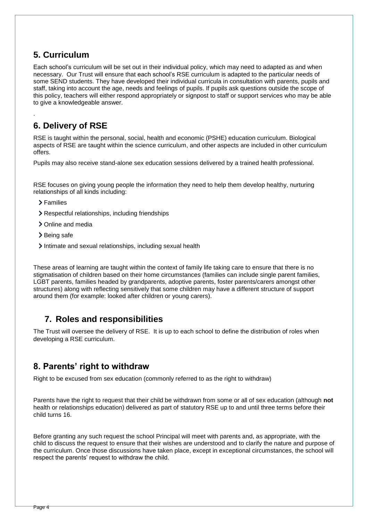## <span id="page-3-0"></span>**5. Curriculum**

Each school's curriculum will be set out in their individual policy, which may need to adapted as and when necessary. Our Trust will ensure that each school's RSE curriculum is adapted to the particular needs of some SEND students. They have developed their individual curricula in consultation with parents, pupils and staff, taking into account the age, needs and feelings of pupils. If pupils ask questions outside the scope of this policy, teachers will either respond appropriately or signpost to staff or support services who may be able to give a knowledgeable answer.

## <span id="page-3-1"></span>**6. Delivery of RSE**

RSE is taught within the personal, social, health and economic (PSHE) education curriculum. Biological aspects of RSE are taught within the science curriculum, and other aspects are included in other curriculum offers.

Pupils may also receive stand-alone sex education sessions delivered by a trained health professional.

RSE focuses on giving young people the information they need to help them develop healthy, nurturing relationships of all kinds including:

> Families

.

- Respectful relationships, including friendships
- > Online and media
- > Being safe
- Intimate and sexual relationships, including sexual health

These areas of learning are taught within the context of family life taking care to ensure that there is no stigmatisation of children based on their home circumstances (families can include single parent families, LGBT parents, families headed by grandparents, adoptive parents, foster parents/carers amongst other structures) along with reflecting sensitively that some children may have a different structure of support around them (for example: looked after children or young carers).

## <span id="page-3-2"></span>**7. Roles and responsibilities**

The Trust will oversee the delivery of RSE. It is up to each school to define the distribution of roles when developing a RSE curriculum.

## <span id="page-3-3"></span>**8. Parents' right to withdraw**

Right to be excused from sex education (commonly referred to as the right to withdraw)

Parents have the right to request that their child be withdrawn from some or all of sex education (although **not** health or relationships education) delivered as part of statutory RSE up to and until three terms before their child turns 16.

Before granting any such request the school Principal will meet with parents and, as appropriate, with the child to discuss the request to ensure that their wishes are understood and to clarify the nature and purpose of the curriculum. Once those discussions have taken place, except in exceptional circumstances, the school will respect the parents' request to withdraw the child.